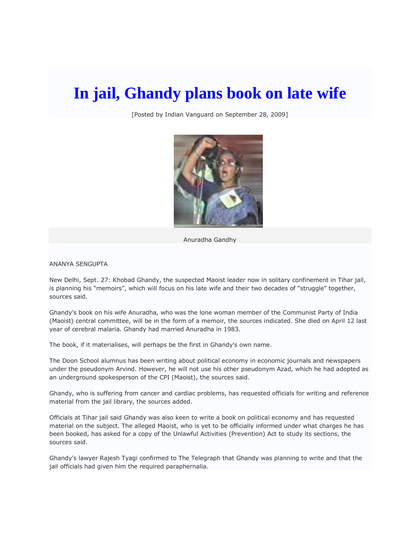## **In jail, Ghandy plans book on late wife**

[Posted by Indian Vanguard on September 28, 2009]



Anuradha Gandhy

ANANYA SENGUPTA

New Delhi, Sept. 27: Khobad Ghandy, the suspected Maoist leader now in solitary confinement in Tihar jail, is planning his "memoirs", which will focus on his late wife and their two decades of "struggle" together, sources said.

Ghandy's book on his wife Anuradha, who was the lone woman member of the Communist Party of India (Maoist) central committee, will be in the form of a memoir, the sources indicated. She died on April 12 last year of cerebral malaria. Ghandy had married Anuradha in 1983.

The book, if it materialises, will perhaps be the first in Ghandy's own name.

The Doon School alumnus has been writing about political economy in economic journals and newspapers under the pseudonym Arvind. However, he will not use his other pseudonym Azad, which he had adopted as an underground spokesperson of the CPI (Maoist), the sources said.

Ghandy, who is suffering from cancer and cardiac problems, has requested officials for writing and reference material from the jail library, the sources added.

Officials at Tihar jail said Ghandy was also keen to write a book on political economy and has requested material on the subject. The alleged Maoist, who is yet to be officially informed under what charges he has been booked, has asked for a copy of the Unlawful Activities (Prevention) Act to study its sections, the sources said.

Ghandy's lawyer Rajesh Tyagi confirmed to The Telegraph that Ghandy was planning to write and that the jail officials had given him the required paraphernalia.